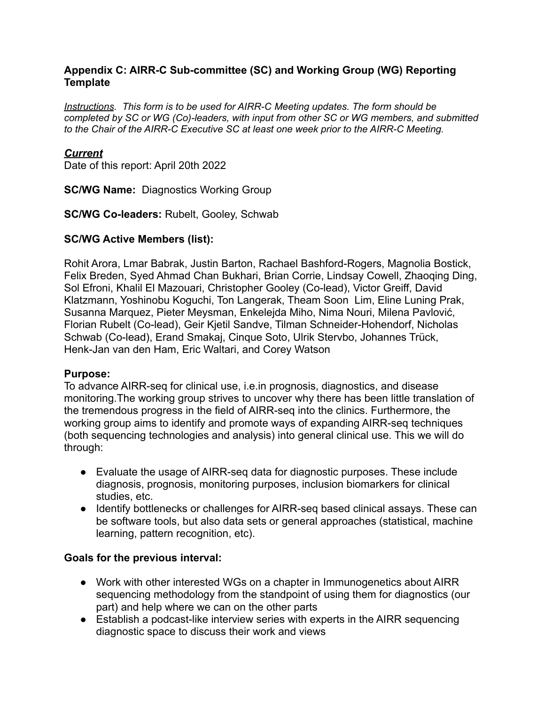#### **Appendix C: AIRR-C Sub-committee (SC) and Working Group (WG) Reporting Template**

*Instructions. This form is to be used for AIRR-C Meeting updates. The form should be completed by SC or WG (Co)-leaders, with input from other SC or WG members, and submitted to the Chair of the AIRR-C Executive SC at least one week prior to the AIRR-C Meeting.*

#### *Current*

Date of this report: April 20th 2022

**SC/WG Name:** Diagnostics Working Group

**SC/WG Co-leaders:** Rubelt, Gooley, Schwab

#### **SC/WG Active Members (list):**

Rohit Arora, Lmar Babrak, Justin Barton, Rachael Bashford-Rogers, Magnolia Bostick, Felix Breden, Syed Ahmad Chan Bukhari, Brian Corrie, Lindsay Cowell, Zhaoqing Ding, Sol Efroni, Khalil El Mazouari, Christopher Gooley (Co-lead), Victor Greiff, David Klatzmann, Yoshinobu Koguchi, Ton Langerak, Theam Soon Lim, Eline Luning Prak, Susanna Marquez, Pieter Meysman, Enkelejda Miho, Nima Nouri, Milena Pavlović, Florian Rubelt (Co-lead), Geir Kjetil Sandve, Tilman Schneider-Hohendorf, Nicholas Schwab (Co-lead), Erand Smakaj, Cinque Soto, Ulrik Stervbo, Johannes Trück, Henk-Jan van den Ham, Eric Waltari, and Corey Watson

#### **Purpose:**

To advance AIRR-seq for clinical use, i.e.in prognosis, diagnostics, and disease monitoring.The working group strives to uncover why there has been little translation of the tremendous progress in the field of AIRR-seq into the clinics. Furthermore, the working group aims to identify and promote ways of expanding AIRR-seq techniques (both sequencing technologies and analysis) into general clinical use. This we will do through:

- Evaluate the usage of AIRR-seq data for diagnostic purposes. These include diagnosis, prognosis, monitoring purposes, inclusion biomarkers for clinical studies, etc.
- Identify bottlenecks or challenges for AIRR-seq based clinical assays. These can be software tools, but also data sets or general approaches (statistical, machine learning, pattern recognition, etc).

#### **Goals for the previous interval:**

- Work with other interested WGs on a chapter in Immunogenetics about AIRR sequencing methodology from the standpoint of using them for diagnostics (our part) and help where we can on the other parts
- Establish a podcast-like interview series with experts in the AIRR sequencing diagnostic space to discuss their work and views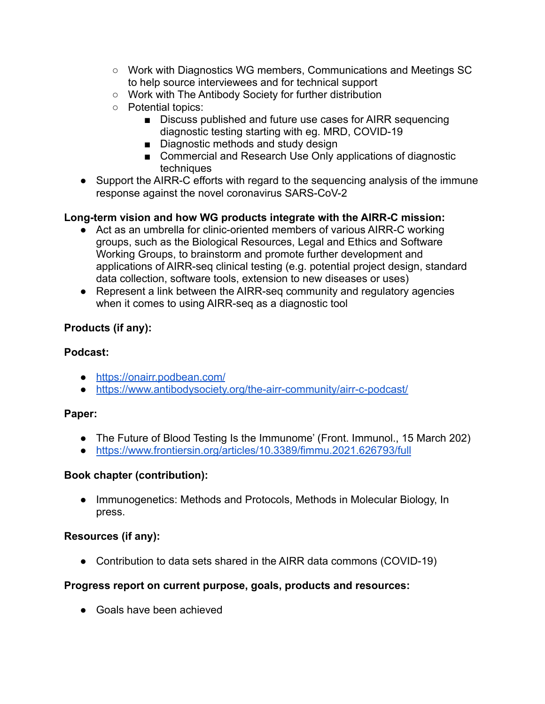- Work with Diagnostics WG members, Communications and Meetings SC to help source interviewees and for technical support
- Work with The Antibody Society for further distribution
- Potential topics:
	- Discuss published and future use cases for AIRR sequencing diagnostic testing starting with eg. MRD, COVID-19
	- Diagnostic methods and study design
	- Commercial and Research Use Only applications of diagnostic techniques
- Support the AIRR-C efforts with regard to the sequencing analysis of the immune response against the novel coronavirus SARS-CoV-2

# **Long-term vision and how WG products integrate with the AIRR-C mission:**

- **●** Act as an umbrella for clinic-oriented members of various AIRR-C working groups, such as the Biological Resources, Legal and Ethics and Software Working Groups, to brainstorm and promote further development and applications of AIRR-seq clinical testing (e.g. potential project design, standard data collection, software tools, extension to new diseases or uses)
- **●** Represent a link between the AIRR-seq community and regulatory agencies when it comes to using AIRR-seq as a diagnostic tool

# **Products (if any):**

## **Podcast:**

- <https://onairr.podbean.com/>
- <https://www.antibodysociety.org/the-airr-community/airr-c-podcast/>

### **Paper:**

- The Future of Blood Testing Is the Immunome' (Front. Immunol., 15 March 202)
- <https://www.frontiersin.org/articles/10.3389/fimmu.2021.626793/full>

# **Book chapter (contribution):**

● Immunogenetics: Methods and Protocols, Methods in Molecular Biology, In press.

# **Resources (if any):**

● Contribution to data sets shared in the AIRR data commons (COVID-19)

# **Progress report on current purpose, goals, products and resources:**

• Goals have been achieved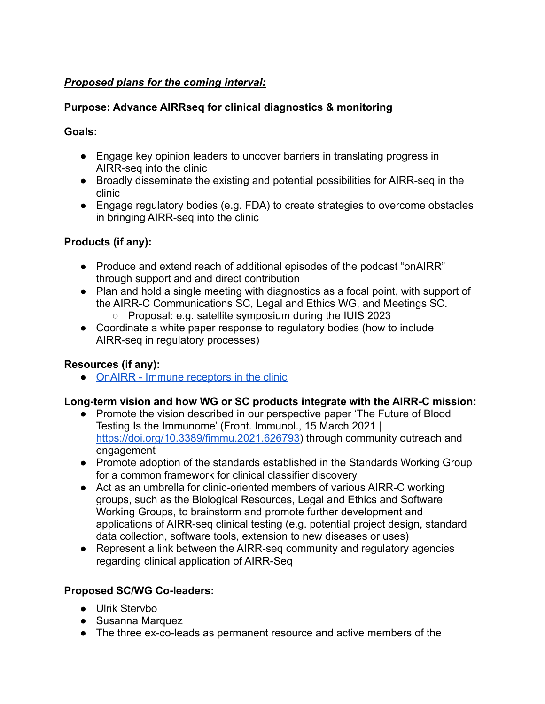## *Proposed plans for the coming interval:*

### **Purpose: Advance AIRRseq for clinical diagnostics & monitoring**

### **Goals:**

- Engage key opinion leaders to uncover barriers in translating progress in AIRR-seq into the clinic
- Broadly disseminate the existing and potential possibilities for AIRR-seq in the clinic
- Engage regulatory bodies (e.g. FDA) to create strategies to overcome obstacles in bringing AIRR-seq into the clinic

### **Products (if any):**

- Produce and extend reach of additional episodes of the podcast "onAIRR" through support and and direct contribution
- Plan and hold a single meeting with diagnostics as a focal point, with support of the AIRR-C Communications SC, Legal and Ethics WG, and Meetings SC.
	- Proposal: e.g. satellite symposium during the IUIS 2023
- Coordinate a white paper response to regulatory bodies (how to include AIRR-seq in regulatory processes)

# **Resources (if any):**

**●** [OnAIRR - Immune receptors in the clinic](https://onairr.podbean.com/)

### **Long-term vision and how WG or SC products integrate with the AIRR-C mission:**

- Promote the vision described in our perspective paper 'The Future of Blood Testing Is the Immunome' (Front. Immunol., 15 March 2021 | [https://doi.org/10.3389/fimmu.2021.626793\)](https://doi.org/10.3389/fimmu.2021.626793) through community outreach and engagement
- Promote adoption of the standards established in the Standards Working Group for a common framework for clinical classifier discovery
- Act as an umbrella for clinic-oriented members of various AIRR-C working groups, such as the Biological Resources, Legal and Ethics and Software Working Groups, to brainstorm and promote further development and applications of AIRR-seq clinical testing (e.g. potential project design, standard data collection, software tools, extension to new diseases or uses)
- **●** Represent a link between the AIRR-seq community and regulatory agencies regarding clinical application of AIRR-Seq

### **Proposed SC/WG Co-leaders:**

- Ulrik Stervbo
- Susanna Marquez
- The three ex-co-leads as permanent resource and active members of the